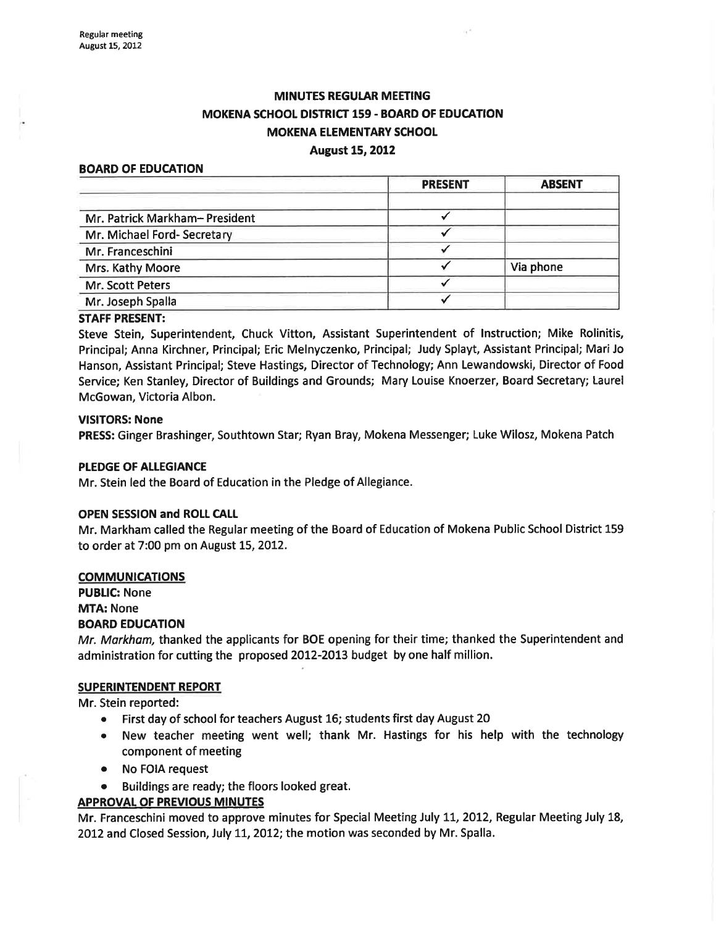# **MINUTES REGULAR MEETING** MOKENA SCHOOL DISTRICT 159 - BOARD OF EDUCATION **MOKENA ELEMENTARY SCHOOL**

## August 15, 2012

#### BOARD OF EDUCATION

|                               | <b>PRESENT</b> | <b>ABSENT</b> |
|-------------------------------|----------------|---------------|
| Mr. Patrick Markham-President |                |               |
| Mr. Michael Ford-Secretary    |                |               |
| Mr. Franceschini              |                |               |
| Mrs. Kathy Moore              |                | Via phone     |
| Mr. Scott Peters              |                |               |
| Mr. Joseph Spalla             |                |               |

#### STAFF PRESENT:

Steve Stein, Superintendent, Chuck Vitton, Assistant Superintendent of lnstruction; Mike Rolinitis, Principal; Anna Kirchner, Principal; Eric Melnyczenko, Principal; Judy Splayt, Assistant Principal; MariJo Hanson, Assistant Principal; Steve Hastings, Director of Technology; Ann Lewandowski, Director of Food Service; Ken Stanley, Director of Buildings and Grounds; Mary Louise Knoerzer, Board Secretary; Laurel McGowan, Victoria Albon.

#### VISITORS: None

PRESS: Ginger Brashinger, Southtown Star; Ryan Bray, Mokena Messenger; Luke Wilosz, Mokena Patch

#### PLEDGE OF ALLEGIANCE

Mr. Stein led the Board of Education in the Pledge of Allegiance.

#### OPEN SESSION and ROLL CALL

Mr. Markham called the Regular meeting of the Board of Education of Mokena Public School District 159 to order at 7:00 pm on August 15, 2012.

#### **COMMUNICATIONS**

PUBLIC: None MTA: None BOARD EDUCATION

Mr. Markham, thanked the applicants for BOE opening for their time; thanked the Superintendent and administration for cutting the proposed 2012-2013 budget by one half million.

#### SUPERINTENDENT REPORT

Mr. Stein reported:

- o First day of school for teachers August 16; students first day August 20
- New teacher meeting went well; thank Mr. Hastings for his help with the technology component of meeting
- No FOIA request
- Buildings are ready; the floors looked great.

#### APPROVAL OF PREVIOUS MINUTES

Mr. Franceschini moved to approve minutes for Special Meeting July 11, 2012, Regular Meeting July 18, 2012 and Closed Session, July 11, 2012; the motion was seconded by Mr. Spalla.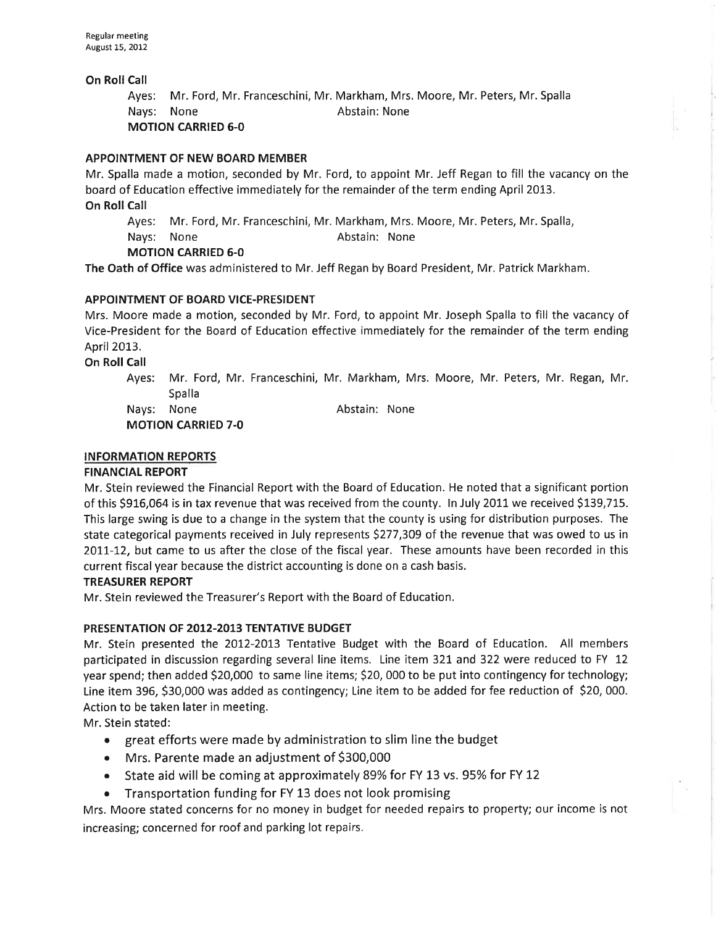## On Roll Call

Ayes: Mr. Ford, Mr. Franceschini, Mr. Markham, Mrs. Moore, Mr. Peters, Mr. Spalla Nays: None **Abstain:** None

MOTION CARRIED 6-0

## APPOINTMENT OF NEW BOARD MEMBER

Mr. Spalla made a motion, seconded by Mr. Ford, to appoint Mr. Jeff Regan to fill the vacancy on the board of Education effective immediately for the remainder of the term ending April 2013. On Roll Call

Ayes: Mr. Ford, Mr. Franceschini, Mr. Markham, Mrs. Moore, Mr. Peters, Mr. Spalla, Nays: None **Abstain:** None MOTION CARRIED 6-0

The Oath of Office was administered to Mr. Jeff Regan by Board President, Mr. Patrick Markham.

## APPOINTMENT OF BOARD VICE-PRESIDENT

Mrs. Moore made a motion, seconded by Mr. Ford, to appoint Mr. Joseph Spalla to fill the vacancy of Vice-President for the Board of Education effective immediately for the remainder of the term ending April 2013.

On Roll Call

Ayes: Mr. Ford, Mr. Franceschini, Mr. Markham, Mrs. Moore, Mr. Peters, Mr. Regan, Mr. Spalla Nays: None **Abstain:** None

MOTION CARRIED 7-O

## INFORMATION REPORTS

## FINANCIAL REPORT

Mr. Stein reviewed the Financial Report with the Board of Education. He noted that a significant portion of this 5916,064 is in tax revenue that was received from the county. ln July 2011 we received S139,715. This large swing is due to a change in the system that the county is using for distribution purposes. The state categorical payments received in July represents \$277,3O9 of the revenue that was owed to us in 2011-12, but came to us after the close of the fiscal year. These amounts have been recorded in this current fiscal year because the district accounting is done on a cash basis.

#### TREASURER REPORT

Mr. Stein reviewed the Treasurer's Report with the Board of Education.

## PRESENTATION OF 2012-2013 TENTATIVE BUDGET

Mr. Stein presented the 2012-2013 Tentative Budget with the Board of Education. All members participated in discussion regarding several line items. Line item 321 and 322 were reduced to FY 12 year spend; then added 520,000 to same line items; S20, 000 to be put into contingency for technology; Line item 396, \$30,000 was added as contingency; Line item to be added for fee reduction of \$20,000. Action to be taken later in meeting.

Mr. Stein stated:

- great efforts were made by administration to slim line the budget
- Mrs. Parente made an adjustment of \$300,000
- State aid will be coming at approximately 89% for FY 13 vs. 95% for FY 12
- o Transportation funding for FY 13 does not look promising

Mrs. Moore stated concerns for no money in budget for needed repairs to property; our income is not increasing; concerned for roof and parking lot repairs,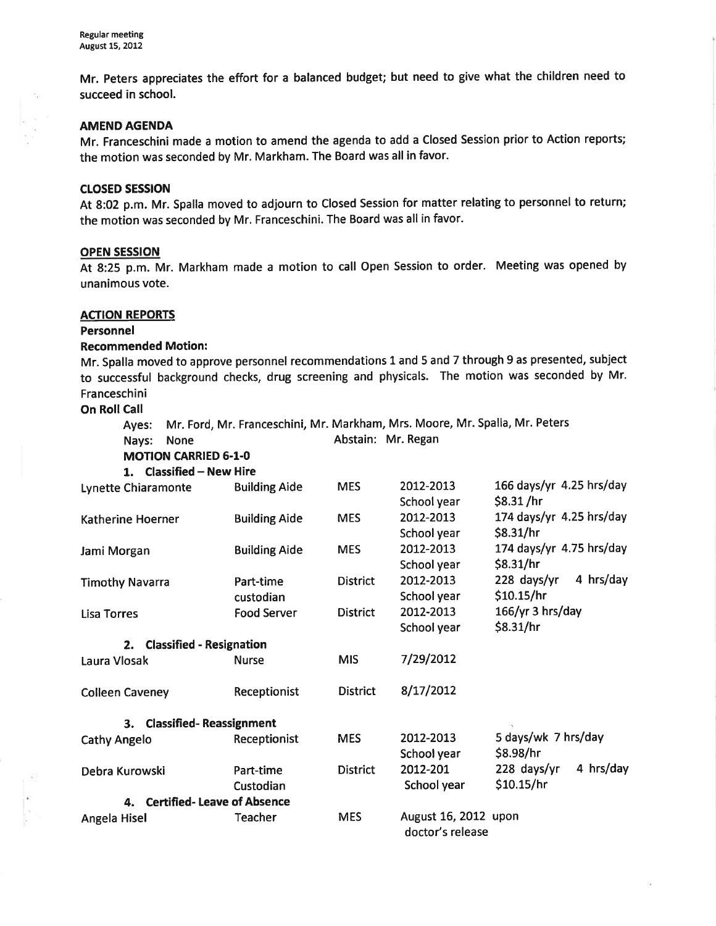Mr. Peters appreciates the effort for a balanced budget; but need to give what the children need to succeed in school.

#### AMEND AGENDA

Mr. Franceschini made a motion to amend the agenda to add a Closed Session prior to Action reports; the motion was seconded by Mr. Markham. The Board was all in favor.

#### cLosED sEssroN

At 8:02 p.m. Mr. Spalla moved to adjourn to Closed Session for matter relating to personnel to return; the motion was seconded by Mr. Franceschini. The Board was all in favor.

#### OPEN SESSION

At 8:25 p.m. Mr. Markham made a motion to call Open Session to order. Meeting was opened by unanimous vote.

#### **ACTION REPORTS**

#### Personnel

#### Recommended Motion:

Mr. Spalla moved to approve personnel recommendations 1 and 5 and 7 through 9 as presented, subject to successful background checks, drug screening and physicals. The motion was seconded by Mr. Franceschini

**On Roll Call** 

Ayes: Mr. Ford, Mr. Franceschini, Mr. Markham, Mrs. Moore, Mr. Spalla, Mr. Peters

Nays: None **Abstain: Mr. Regan** 

MOTION CARRIED 6.1.0

| 1. Classified - New Hire             |                      |                 |                                          |                            |  |
|--------------------------------------|----------------------|-----------------|------------------------------------------|----------------------------|--|
| Lynette Chiaramonte                  | <b>Building Aide</b> | <b>MES</b>      | 2012-2013                                | 166 days/yr 4.25 hrs/day   |  |
|                                      |                      |                 | School year                              | \$8.31 / hr                |  |
| Katherine Hoerner                    | <b>Building Aide</b> | <b>MES</b>      | 2012-2013                                | 174 days/yr $4.25$ hrs/day |  |
|                                      |                      |                 | School year                              | \$8.31/hr                  |  |
| Jami Morgan                          | <b>Building Aide</b> | <b>MES</b>      | 2012-2013                                | 174 days/yr $4.75$ hrs/day |  |
|                                      |                      |                 | School year                              | \$8.31/hr                  |  |
| <b>Timothy Navarra</b>               | Part-time            | <b>District</b> | 2012-2013                                | 4 hrs/day<br>228 days/yr   |  |
|                                      | custodian            |                 | School year                              | \$10.15/hr                 |  |
| Lisa Torres                          | <b>Food Server</b>   | <b>District</b> | 2012-2013                                | $166/\gamma r$ 3 hrs/day   |  |
|                                      |                      |                 | School year                              | \$8.31/hr                  |  |
| 2. Classified - Resignation          |                      |                 |                                          |                            |  |
| Laura Vlosak                         | <b>Nurse</b>         | <b>MIS</b>      | 7/29/2012                                |                            |  |
| <b>Colleen Caveney</b>               | Receptionist         | <b>District</b> | 8/17/2012                                |                            |  |
| <b>Classified-Reassignment</b><br>3. |                      |                 |                                          |                            |  |
| <b>Cathy Angelo</b>                  | Receptionist         | <b>MES</b>      | 2012-2013                                | 5 days/wk 7 hrs/day        |  |
|                                      |                      |                 | School year                              | \$8.98/hr                  |  |
| Debra Kurowski                       | Part-time            | <b>District</b> | 2012-201                                 | 228 days/yr<br>4 hrs/day   |  |
|                                      | Custodian            |                 | School year                              | \$10.15/hr                 |  |
| 4. Certified-Leave of Absence        |                      |                 |                                          |                            |  |
| Angela Hisel                         | Teacher              | <b>MES</b>      | August 16, 2012 upon<br>doctor's release |                            |  |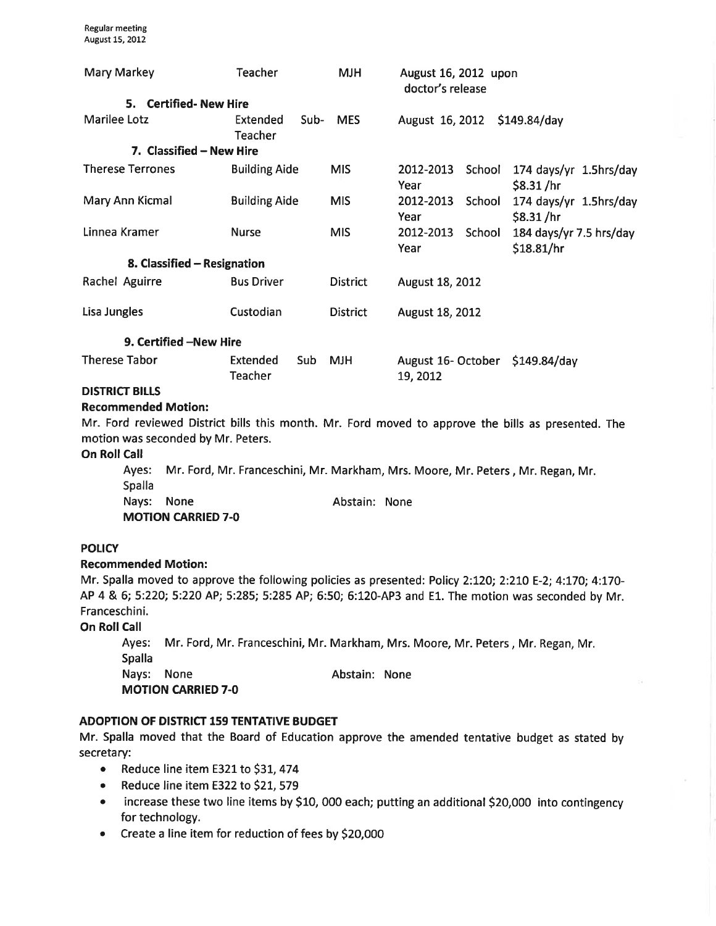| Mary Markey                 | Teacher                            | <b>MJH</b>      | August 16, 2012 upon<br>doctor's release    |                                       |  |  |
|-----------------------------|------------------------------------|-----------------|---------------------------------------------|---------------------------------------|--|--|
| 5. Certified-New Hire       |                                    |                 |                                             |                                       |  |  |
| Marilee Lotz                | Sub-<br>Extended<br>Teacher        | <b>MES</b>      | August 16, 2012 \$149.84/day                |                                       |  |  |
| 7. Classified – New Hire    |                                    |                 |                                             |                                       |  |  |
| <b>Therese Terrones</b>     | <b>Building Aide</b>               | <b>MIS</b>      | School<br>2012-2013<br>Year                 | 174 days/yr 1.5hrs/day<br>\$8.31 / hr |  |  |
| Mary Ann Kicmal             | <b>Building Aide</b>               | <b>MIS</b>      | 2012-2013 School<br>Year                    | 174 days/yr 1.5hrs/day<br>\$8.31/hr   |  |  |
| Linnea Kramer               | <b>Nurse</b>                       | <b>MIS</b>      | 2012-2013 School<br>Year                    | 184 days/yr 7.5 hrs/day<br>\$18.81/hr |  |  |
| 8. Classified - Resignation |                                    |                 |                                             |                                       |  |  |
| Rachel Aguirre              | <b>Bus Driver</b>                  | <b>District</b> | August 18, 2012                             |                                       |  |  |
| Lisa Jungles                | Custodian                          | <b>District</b> | August 18, 2012                             |                                       |  |  |
| 9. Certified -New Hire      |                                    |                 |                                             |                                       |  |  |
| <b>Therese Tabor</b>        | Extended<br>Sub.<br><b>Teacher</b> | <b>MJH</b>      | August 16- October \$149.84/day<br>19, 2012 |                                       |  |  |
| DICTRICT BILLE              |                                    |                 |                                             |                                       |  |  |

## DISTRICT BILLS

## Recommended Motion:

Mr. Ford reviewed District bills this month. Mr. Ford moved to approve the bills as presented. The motion was seconded by Mr. Peters.

#### **On Roll Call**

Ayes: Mr. Ford, Mr. Franceschini, Mr. Markham, Mrs. Moore, Mr. Peters, Mr. Regan, Mr. Spalla Nays: None **Abstain:** None MOTION CARRIED 7-O

#### POLICY

#### Recommended Motion:

Mr. Spalla moved to approve the following policies as presented: Policy 2:120; 2:210 E-2; 4:170; 4:170-AP 4 & 6; 5:220; 5:220 AP; 5:285; 5:285 AP; 6:50; 6:120-AP3 and E1. The motion was seconded by Mr. Franceschini.

**On Roll Call** 

Ayes: Mr. Ford, Mr. Franceschini, Mr. Markham, Mrs. Moore, Mr. Peters, Mr. Regan, Mr. Spalla Nays: None **Abstain:** None MOTION CARRIED 7.0

## ADOPTION OF DISTRICT 159 TENTATIVE BUDGET

Mr. Spalla moved that the Board of Education approve the amended tentative budget as stated by secretary:

- Reduce line item E321 to \$31, 474
- Reduce line item E322 to \$21, 579
- increase these two line items by \$10, 000 each; putting an additional \$20,000 into contingency for technology.
- Create a line item for reduction of fees by \$20,000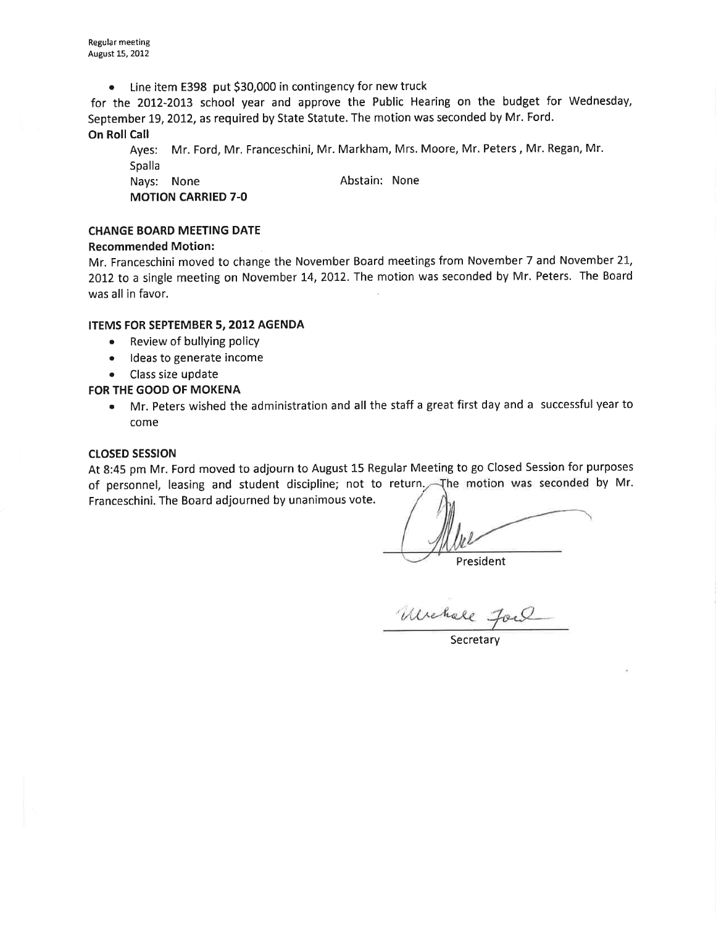. Line item E398 put 530,000 in contingency for new truck

for the 2012-2013 school year and approve the Public Hearing on the budget for Wednesday, September 19, 2012, as required by State Statute. The motion was seconded by Mr. Ford. **On Roll Call** 

Ayes: Mr. Ford, Mr. Franceschini, Mr. Markham, Mrs. Moore, Mr. Peters , Mr. Regan, Mr. Spalla Nays: None **Abstain:** None

MOTION CARRIED 7-O

## CHANGE BOARD MEETING DATE

## Recommended Motion:

Mr. Franceschini moved to change the November Board meetings from November 7 and November 21, 2012 to a single meeting on November 14, 2012. The motion was seconded by Mr. Peters. The Board was all in favor.

## ITEMS FOR SEPTEMBER 5,2012 AGENDA

- . Review of bullying policy
- Ideas to generate income
- . Class size update

## FOR THE GOOD OF MOKENA

• Mr. Peters wished the administration and all the staff a great first day and a successful year to come

## ctosED sEssloN

At 8:45 pm Mr. Ford moved to adjourn to August 15 Regular Meeting to go Closed Session for purposes of personnel, leasing and student discipline; not to return. The motion was seconded by Mr. Franceschini. The Board adjourned by unanimous vote.

President

Unchall Jac

**Secretary**